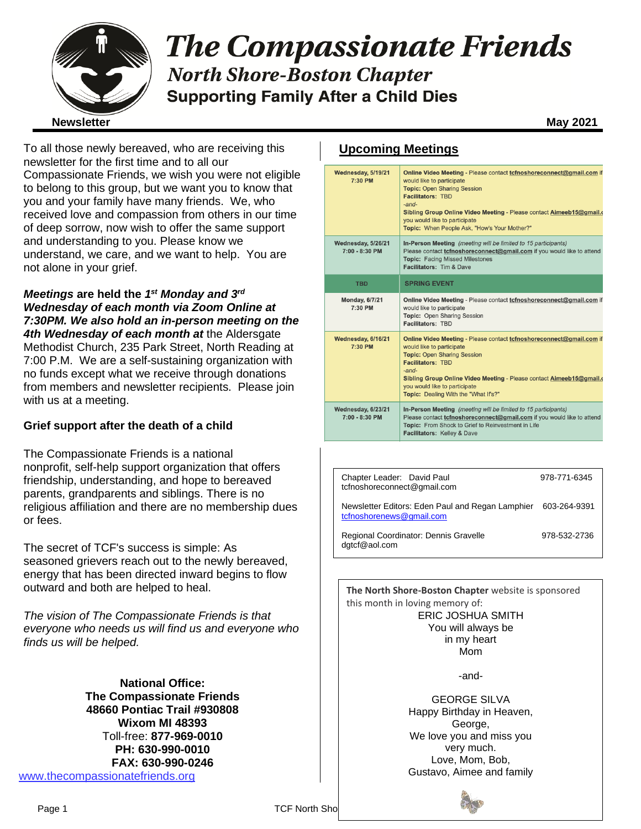

# **The Compassionate Friends North Shore-Boston Chapter Supporting Family After a Child Dies**

To all those newly bereaved, who are receiving this newsletter for the first time and to all our Compassionate Friends, we wish you were not eligible to belong to this group, but we want you to know that you and your family have many friends. We, who received love and compassion from others in our time of deep sorrow, now wish to offer the same support and understanding to you. Please know we understand, we care, and we want to help. You are not alone in your grief.

*Meetings* **are held the** *1 st Monday and 3rd Wednesday of each month via Zoom Online at 7:30PM. We also hold an in-person meeting on the 4th Wednesday of each month at* the Aldersgate Methodist Church, 235 Park Street, North Reading at 7:00 P.M. We are a self-sustaining organization with no funds except what we receive through donations from members and newsletter recipients. Please join with us at a meeting.

#### **Grief support after the death of a child**

The Compassionate Friends is a national nonprofit, self-help support organization that offers friendship, understanding, and hope to bereaved parents, grandparents and siblings. There is no religious affiliation and there are no membership dues or fees.

The secret of TCF's success is simple: As seasoned grievers reach out to the newly bereaved, energy that has been directed inward begins to flow outward and both are helped to heal.

*The vision of The Compassionate Friends is that everyone who needs us will find us and everyone who finds us will be helped.*

**National Office: The Compassionate Friends 48660 Pontiac Trail #930808 Wixom MI 48393** Toll-free: **877-969-0010 PH: 630-990-0010 FAX: 630-990-0246** [www.thecompassionatefriends.org](http://www.thecompassionatefriends.org/)

#### **Upcoming Meetings**

| Wednesday, 5/19/21<br>7:30 PM          | Online Video Meeting - Please contact to fnoshore connect@gmail.com if<br>would like to participate<br><b>Topic: Open Sharing Session</b><br><b>Facilitators: TBD</b><br>$-$ and $-$<br>Sibling Group Online Video Meeting - Please contact Aimeeb15@gmail.o<br>you would like to participate<br>Topic: When People Ask, "How's Your Mother?" |
|----------------------------------------|-----------------------------------------------------------------------------------------------------------------------------------------------------------------------------------------------------------------------------------------------------------------------------------------------------------------------------------------------|
| Wednesday, 5/26/21<br>$7:00 - 8:30$ PM | In-Person Meeting (meeting will be limited to 15 participants)<br>Please contact tcfnoshoreconnect@gmail.com if you would like to attend<br><b>Topic: Facing Missed Milestones</b><br><b>Facilitators: Tim &amp; Dave</b>                                                                                                                     |
| <b>TBD</b>                             | <b>SPRING EVENT</b>                                                                                                                                                                                                                                                                                                                           |
| <b>Monday, 6/7/21</b><br>7:30 PM       | Online Video Meeting - Please contact tcfnoshoreconnect@gmail.com if<br>would like to participate<br>Topic: Open Sharing Session<br>Facilitators: TBD                                                                                                                                                                                         |
| Wednesday, 6/16/21<br>7:30 PM          | Online Video Meeting - Please contact tcfnoshoreconnect@gmail.com if<br>would like to participate<br><b>Topic: Open Sharing Session</b><br><b>Facilitators: TBD</b><br>$-$ and $-$<br>Sibling Group Online Video Meeting - Please contact Aimeeb15@gmail.o<br>you would like to participate<br>Topic: Dealing With the "What If's?"           |
| Wednesday, 6/23/21<br>$7:00 - 8:30$ PM | In-Person Meeting (meeting will be limited to 15 participants)<br>Please contact tcfnoshoreconnect@gmail.com if you would like to attend<br>Topic: From Shock to Grief to Reinvestment in Life<br>Facilitators: Kelley & Dave                                                                                                                 |

| Chapter Leader: David Paul<br>tcfnoshoreconnect@gmail.com                    | 978-771-6345 |
|------------------------------------------------------------------------------|--------------|
| Newsletter Editors: Eden Paul and Regan Lamphier<br>tcfnoshorenews@gmail.com | 603-264-9391 |
| Regional Coordinator: Dennis Gravelle<br>dgtcf@aol.com                       | 978-532-2736 |

**The North Shore-Boston Chapter** website is sponsored this month in loving memory of: ERIC JOSHUA SMITH You will always be in my heart Mom

-and-

GEORGE SILVA Happy Birthday in Heaven, George, We love you and miss you very much. Love, Mom, Bob, Gustavo, Aimee and family

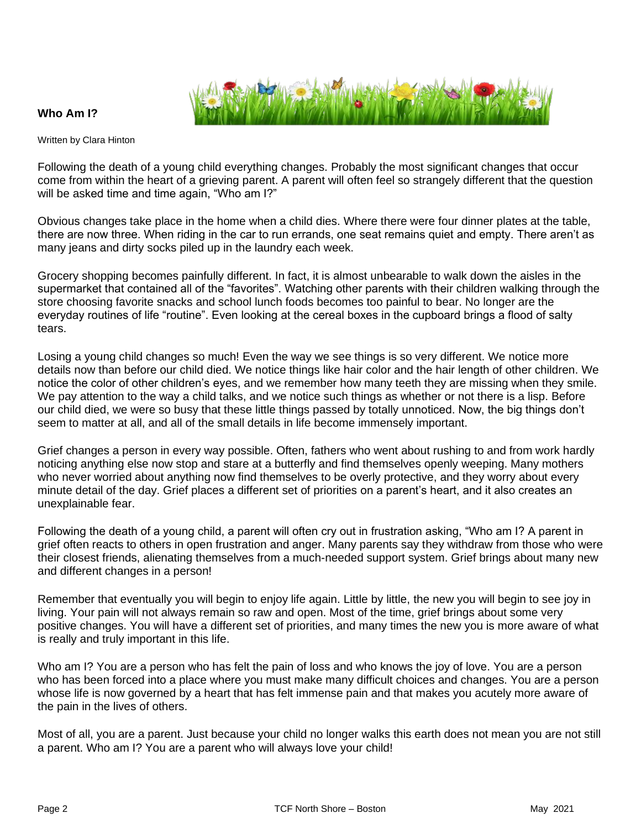



Written by Clara Hinton

Following the death of a young child everything changes. Probably the most significant changes that occur come from within the heart of a grieving parent. A parent will often feel so strangely different that the question will be asked time and time again, "Who am I?"

Obvious changes take place in the home when a child dies. Where there were four dinner plates at the table, there are now three. When riding in the car to run errands, one seat remains quiet and empty. There aren't as many jeans and dirty socks piled up in the laundry each week.

Grocery shopping becomes painfully different. In fact, it is almost unbearable to walk down the aisles in the supermarket that contained all of the "favorites". Watching other parents with their children walking through the store choosing favorite snacks and school lunch foods becomes too painful to bear. No longer are the everyday routines of life "routine". Even looking at the cereal boxes in the cupboard brings a flood of salty tears.

Losing a young child changes so much! Even the way we see things is so very different. We notice more details now than before our child died. We notice things like hair color and the hair length of other children. We notice the color of other children's eyes, and we remember how many teeth they are missing when they smile. We pay attention to the way a child talks, and we notice such things as whether or not there is a lisp. Before our child died, we were so busy that these little things passed by totally unnoticed. Now, the big things don't seem to matter at all, and all of the small details in life become immensely important.

Grief changes a person in every way possible. Often, fathers who went about rushing to and from work hardly noticing anything else now stop and stare at a butterfly and find themselves openly weeping. Many mothers who never worried about anything now find themselves to be overly protective, and they worry about every minute detail of the day. Grief places a different set of priorities on a parent's heart, and it also creates an unexplainable fear.

Following the death of a young child, a parent will often cry out in frustration asking, "Who am I? A parent in grief often reacts to others in open frustration and anger. Many parents say they withdraw from those who were their closest friends, alienating themselves from a much-needed support system. Grief brings about many new and different changes in a person!

Remember that eventually you will begin to enjoy life again. Little by little, the new you will begin to see joy in living. Your pain will not always remain so raw and open. Most of the time, grief brings about some very positive changes. You will have a different set of priorities, and many times the new you is more aware of what is really and truly important in this life.

Who am I? You are a person who has felt the pain of loss and who knows the joy of love. You are a person who has been forced into a place where you must make many difficult choices and changes. You are a person whose life is now governed by a heart that has felt immense pain and that makes you acutely more aware of the pain in the lives of others.

Most of all, you are a parent. Just because your child no longer walks this earth does not mean you are not still a parent. Who am I? You are a parent who will always love your child!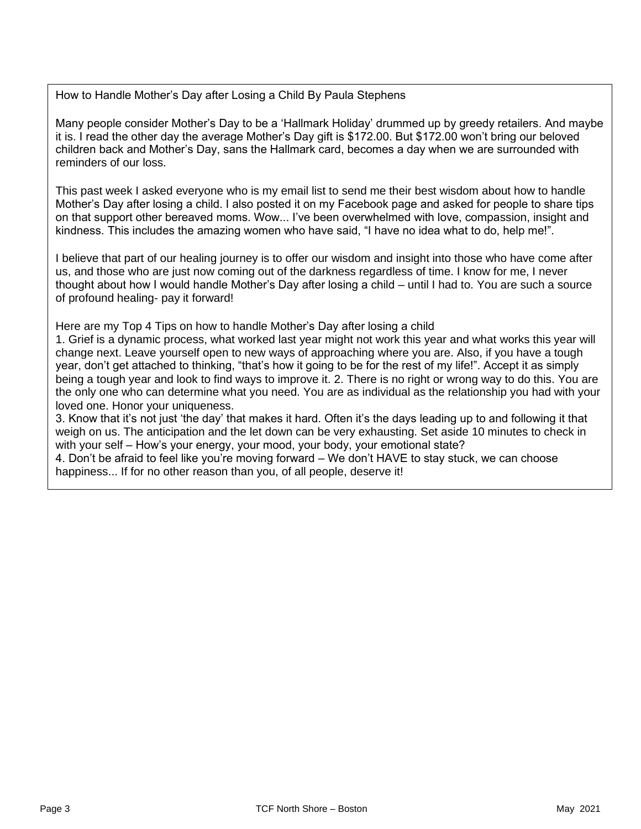How to Handle Mother's Day after Losing a Child By Paula Stephens

Many people consider Mother's Day to be a 'Hallmark Holiday' drummed up by greedy retailers. And maybe it is. I read the other day the average Mother's Day gift is \$172.00. But \$172.00 won't bring our beloved children back and Mother's Day, sans the Hallmark card, becomes a day when we are surrounded with reminders of our loss.

This past week I asked everyone who is my email list to send me their best wisdom about how to handle Mother's Day after losing a child. I also posted it on my Facebook page and asked for people to share tips on that support other bereaved moms. Wow... I've been overwhelmed with love, compassion, insight and kindness. This includes the amazing women who have said, "I have no idea what to do, help me!".

I believe that part of our healing journey is to offer our wisdom and insight into those who have come after us, and those who are just now coming out of the darkness regardless of time. I know for me, I never thought about how I would handle Mother's Day after losing a child – until I had to. You are such a source of profound healing- pay it forward!

Here are my Top 4 Tips on how to handle Mother's Day after losing a child

1. Grief is a dynamic process, what worked last year might not work this year and what works this year will change next. Leave yourself open to new ways of approaching where you are. Also, if you have a tough year, don't get attached to thinking, "that's how it going to be for the rest of my life!". Accept it as simply being a tough year and look to find ways to improve it. 2. There is no right or wrong way to do this. You are the only one who can determine what you need. You are as individual as the relationship you had with your loved one. Honor your uniqueness.

3. Know that it's not just 'the day' that makes it hard. Often it's the days leading up to and following it that weigh on us. The anticipation and the let down can be very exhausting. Set aside 10 minutes to check in with your self – How's your energy, your mood, your body, your emotional state?

4. Don't be afraid to feel like you're moving forward – We don't HAVE to stay stuck, we can choose<br>hanniness – If for no other reason than you, of all neonle, deserve itl  happiness... If for no other reason than you, of all people, deserve it!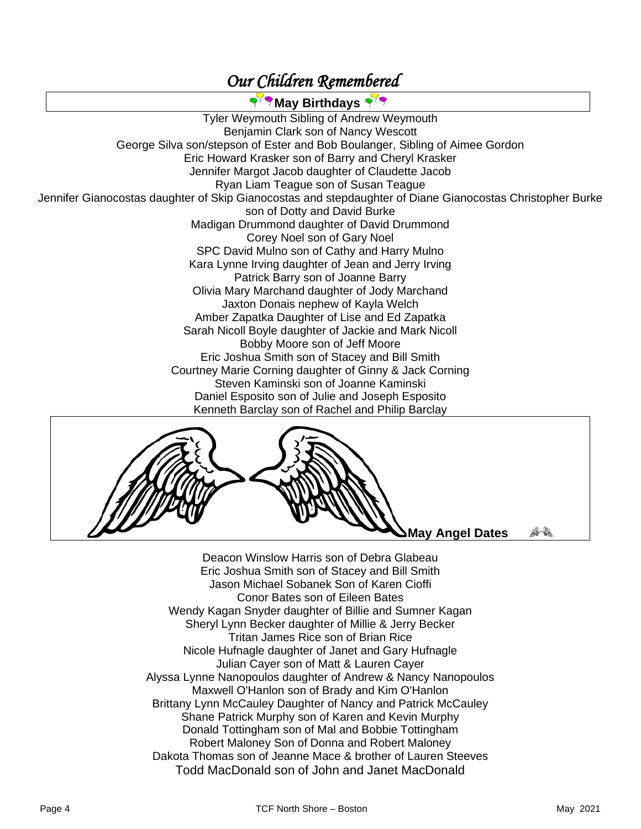## *Our Children Remembered*

**May Birthdays** Tyler Weymouth Sibling of Andrew Weymouth Benjamin Clark son of Nancy Wescott George Silva son/stepson of Ester and Bob Boulanger, Sibling of Aimee Gordon Eric Howard Krasker son of Barry and Cheryl Krasker Jennifer Margot Jacob daughter of Claudette Jacob Ryan Liam Teague son of Susan Teague Jennifer Gianocostas daughter of Skip Gianocostas and stepdaughter of Diane Gianocostas Christopher Burke son of Dotty and David Burke Madigan Drummond daughter of David Drummond Corey Noel son of Gary Noel SPC David Mulno son of Cathy and Harry Mulno Kara Lynne Irving daughter of Jean and Jerry Irving Patrick Barry son of Joanne Barry Olivia Mary Marchand daughter of Jody Marchand Jaxton Donais nephew of Kayla Welch Amber Zapatka Daughter of Lise and Ed Zapatka Sarah Nicoll Boyle daughter of Jackie and Mark Nicoll Bobby Moore son of Jeff Moore Eric Joshua Smith son of Stacey and Bill Smith Courtney Marie Corning daughter of Ginny & Jack Corning Steven Kaminski son of Joanne Kaminski Daniel Esposito son of Julie and Joseph Esposito Kenneth Barclay son of Rachel and Philip Barclay



**May Angel Dates** 

la R

Deacon Winslow Harris son of Debra Glabeau Eric Joshua Smith son of Stacey and Bill Smith Jason Michael Sobanek Son of Karen Cioffi Conor Bates son of Eileen Bates Wendy Kagan Snyder daughter of Billie and Sumner Kagan Sheryl Lynn Becker daughter of Millie & Jerry Becker Tritan James Rice son of Brian Rice Nicole Hufnagle daughter of Janet and Gary Hufnagle Julian Cayer son of Matt & Lauren Cayer Alyssa Lynne Nanopoulos daughter of Andrew & Nancy Nanopoulos Maxwell O'Hanlon son of Brady and Kim O'Hanlon Brittany Lynn McCauley Daughter of Nancy and Patrick McCauley Shane Patrick Murphy son of Karen and Kevin Murphy Donald Tottingham son of Mal and Bobbie Tottingham Robert Maloney Son of Donna and Robert Maloney Dakota Thomas son of Jeanne Mace & brother of Lauren Steeves Todd MacDonald son of John and Janet MacDonald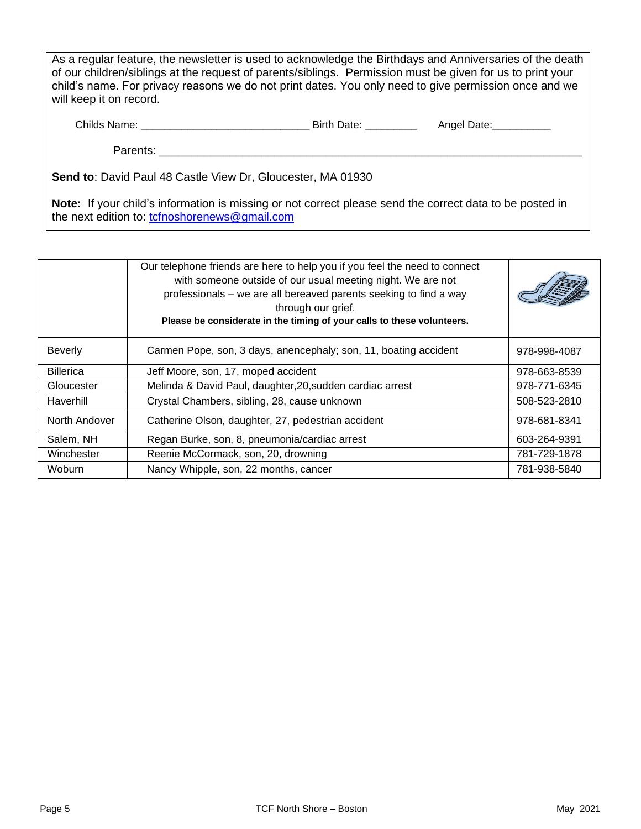As a regular feature, the newsletter is used to acknowledge the Birthdays and Anniversaries of the death of our children/siblings at the request of parents/siblings. Permission must be given for us to print your child's name. For privacy reasons we do not print dates. You only need to give permission once and we will keep it on record.

| Childs Name: | Birth | Anael<br>Jate |
|--------------|-------|---------------|
|              |       |               |

Parents: **Example 20** 

**Send to**: David Paul 48 Castle View Dr, Gloucester, MA 01930

**Note:** If your child's information is missing or not correct please send the correct data to be posted in the next edition to: [tcfnoshorenews@gmail.com](mailto:tcfnoshorenews@gmail.com)

|                  | Our telephone friends are here to help you if you feel the need to connect<br>with someone outside of our usual meeting night. We are not<br>professionals – we are all bereaved parents seeking to find a way<br>through our grief.<br>Please be considerate in the timing of your calls to these volunteers. |              |
|------------------|----------------------------------------------------------------------------------------------------------------------------------------------------------------------------------------------------------------------------------------------------------------------------------------------------------------|--------------|
| <b>Beverly</b>   | Carmen Pope, son, 3 days, anencephaly; son, 11, boating accident                                                                                                                                                                                                                                               | 978-998-4087 |
| <b>Billerica</b> | Jeff Moore, son, 17, moped accident                                                                                                                                                                                                                                                                            | 978-663-8539 |
| Gloucester       | Melinda & David Paul, daughter, 20, sudden cardiac arrest                                                                                                                                                                                                                                                      | 978-771-6345 |
| Haverhill        | Crystal Chambers, sibling, 28, cause unknown                                                                                                                                                                                                                                                                   | 508-523-2810 |
| North Andover    | Catherine Olson, daughter, 27, pedestrian accident                                                                                                                                                                                                                                                             | 978-681-8341 |
| Salem, NH        | Regan Burke, son, 8, pneumonia/cardiac arrest                                                                                                                                                                                                                                                                  | 603-264-9391 |
| Winchester       | Reenie McCormack, son, 20, drowning                                                                                                                                                                                                                                                                            | 781-729-1878 |
| Woburn           | Nancy Whipple, son, 22 months, cancer                                                                                                                                                                                                                                                                          | 781-938-5840 |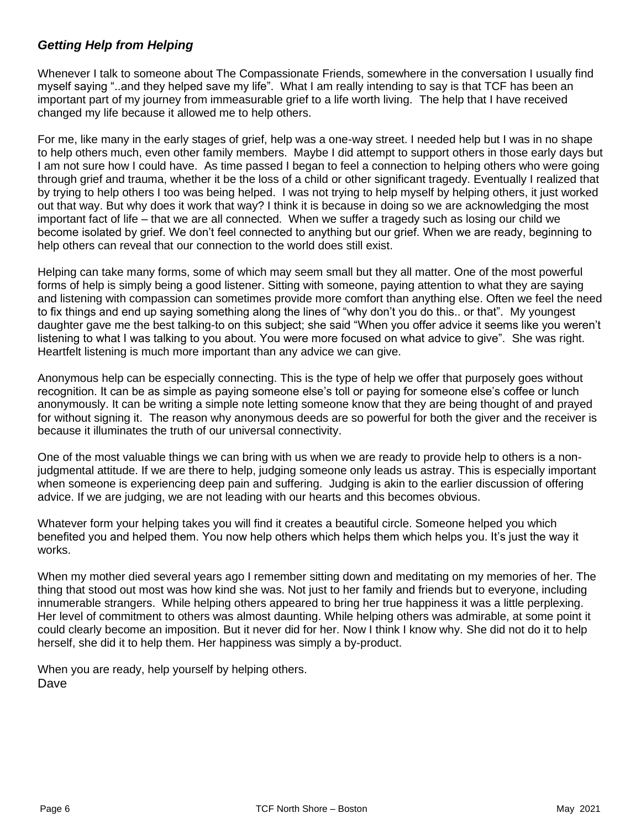#### *Getting Help from Helping*

Whenever I talk to someone about The Compassionate Friends, somewhere in the conversation I usually find myself saying "..and they helped save my life". What I am really intending to say is that TCF has been an important part of my journey from immeasurable grief to a life worth living. The help that I have received changed my life because it allowed me to help others.

For me, like many in the early stages of grief, help was a one-way street. I needed help but I was in no shape to help others much, even other family members. Maybe I did attempt to support others in those early days but I am not sure how I could have. As time passed I began to feel a connection to helping others who were going through grief and trauma, whether it be the loss of a child or other significant tragedy. Eventually I realized that by trying to help others I too was being helped. I was not trying to help myself by helping others, it just worked out that way. But why does it work that way? I think it is because in doing so we are acknowledging the most important fact of life – that we are all connected. When we suffer a tragedy such as losing our child we become isolated by grief. We don't feel connected to anything but our grief. When we are ready, beginning to help others can reveal that our connection to the world does still exist.

Helping can take many forms, some of which may seem small but they all matter. One of the most powerful forms of help is simply being a good listener. Sitting with someone, paying attention to what they are saying and listening with compassion can sometimes provide more comfort than anything else. Often we feel the need to fix things and end up saying something along the lines of "why don't you do this.. or that". My youngest daughter gave me the best talking-to on this subject; she said "When you offer advice it seems like you weren't listening to what I was talking to you about. You were more focused on what advice to give". She was right. Heartfelt listening is much more important than any advice we can give.

Anonymous help can be especially connecting. This is the type of help we offer that purposely goes without recognition. It can be as simple as paying someone else's toll or paying for someone else's coffee or lunch anonymously. It can be writing a simple note letting someone know that they are being thought of and prayed for without signing it. The reason why anonymous deeds are so powerful for both the giver and the receiver is because it illuminates the truth of our universal connectivity.

One of the most valuable things we can bring with us when we are ready to provide help to others is a nonjudgmental attitude. If we are there to help, judging someone only leads us astray. This is especially important when someone is experiencing deep pain and suffering. Judging is akin to the earlier discussion of offering advice. If we are judging, we are not leading with our hearts and this becomes obvious.

Whatever form your helping takes you will find it creates a beautiful circle. Someone helped you which benefited you and helped them. You now help others which helps them which helps you. It's just the way it works.

When my mother died several years ago I remember sitting down and meditating on my memories of her. The thing that stood out most was how kind she was. Not just to her family and friends but to everyone, including innumerable strangers. While helping others appeared to bring her true happiness it was a little perplexing. Her level of commitment to others was almost daunting. While helping others was admirable, at some point it could clearly become an imposition. But it never did for her. Now I think I know why. She did not do it to help herself, she did it to help them. Her happiness was simply a by-product.

When you are ready, help yourself by helping others. Dave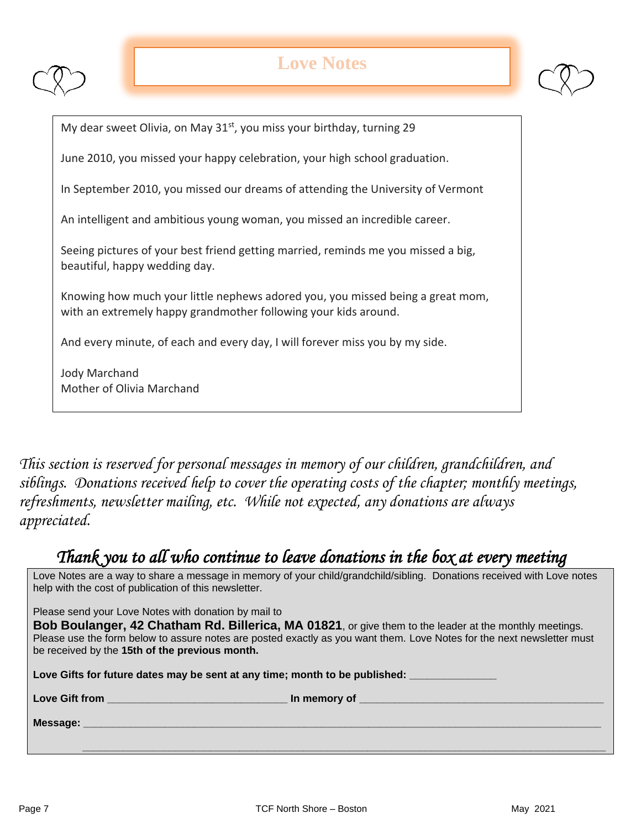

# **Love Notes**



My dear sweet Olivia, on May 31<sup>st</sup>, you miss your birthday, turning 29

June 2010, you missed your happy celebration, your high school graduation.

In September 2010, you missed our dreams of attending the University of Vermont

An intelligent and ambitious young woman, you missed an incredible career.

Seeing pictures of your best friend getting married, reminds me you missed a big, beautiful, happy wedding day.

Knowing how much your little nephews adored you, you missed being a great mom, with an extremely happy grandmother following your kids around.

And every minute, of each and every day, I will forever miss you by my side.

Jody Marchand Mother of Olivia Marchand

*This section is reserved for personal messages in memory of our children, grandchildren, and siblings. Donations received help to cover the operating costs of the chapter; monthly meetings, refreshments, newsletter mailing, etc. While not expected, any donations are always appreciated.*

### *Thank you to all who continue to leave donations in the box at every meeting*

Love Notes are a way to share a message in memory of your child/grandchild/sibling. Donations received with Love notes help with the cost of publication of this newsletter.

Please send your Love Notes with donation by mail to

**Bob Boulanger, 42 Chatham Rd. Billerica, MA 01821**, or give them to the leader at the monthly meetings. Please use the form below to assure notes are posted exactly as you want them. Love Notes for the next newsletter must be received by the **15th of the previous month.** 

Love Gifts for future dates may be sent at any time; month to be published:

Love Gift from **Lowe Gift from** 

**Message: \_\_\_\_\_\_\_\_\_\_\_\_\_\_\_\_\_\_\_\_\_\_\_\_\_\_\_\_\_\_\_\_\_\_\_\_\_\_\_\_\_\_\_\_\_\_\_\_\_\_\_\_\_\_\_\_\_\_\_\_\_\_\_\_\_\_\_\_\_\_\_\_\_\_\_\_\_\_\_\_\_\_\_\_\_\_\_\_\_**

 **\_\_\_\_\_\_\_\_\_\_\_\_\_\_\_\_\_\_\_\_\_\_\_\_\_\_\_\_\_\_\_\_\_\_\_\_\_\_\_\_\_\_\_\_\_\_\_\_\_\_\_\_\_\_\_\_\_\_\_\_\_\_\_\_\_\_\_\_\_\_\_\_\_\_\_\_\_\_\_\_\_\_\_\_\_\_\_\_\_\_**